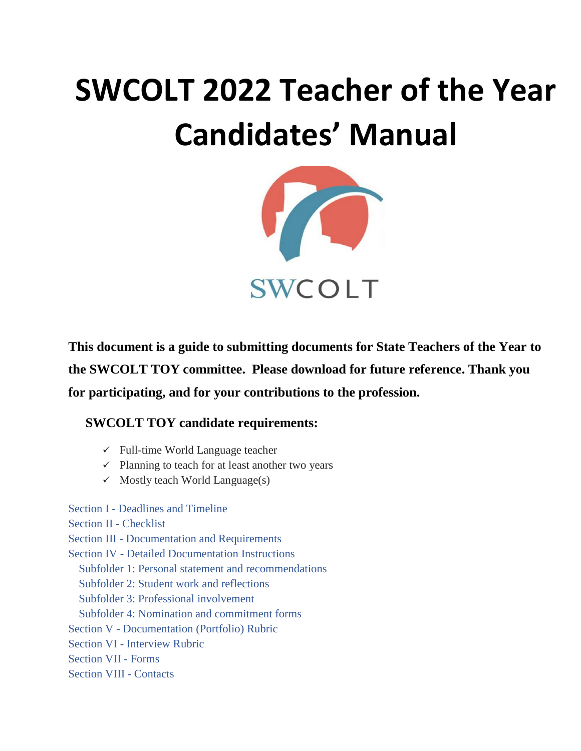# **SWCOLT 2022 Teacher of the Year Candidates' Manual**



**This document is a guide to submitting documents for State Teachers of the Year to the SWCOLT TOY committee. Please download for future reference. Thank you for participating, and for your contributions to the profession.**

## **SWCOLT TOY candidate requirements:**

- $\checkmark$  Full-time World Language teacher
- $\checkmark$  Planning to teach for at least another two years
- $\checkmark$  Mostly teach World Language(s)

Section I - [Deadlines and Timeline](#page-1-0) [Section II -](#page-2-0) Checklist Section III - [Documentation and Requirements](#page-3-0) Section IV - [Detailed Documentation Instructions](#page-3-1) [Subfolder 1: Personal statement and recommendations](#page-3-2) [Subfolder 2: Student work and reflections](#page-4-0) [Subfolder 3: Professional involvement](#page-5-0) [Subfolder 4: Nomination and commitment forms](#page-5-1) Section V - [Documentation \(Portfolio\) Rubric](#page-6-0) Section VI - [Interview Rubric](#page-8-0) [Section VII -](#page-9-0) Forms

### [Section VIII -](#page-13-0) Contacts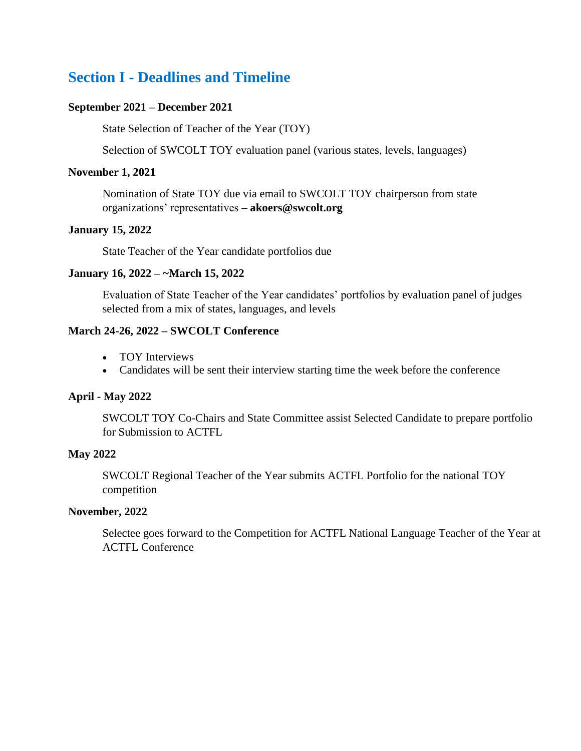## <span id="page-1-0"></span>**Section I - Deadlines and Timeline**

#### **September 2021 – December 2021**

State Selection of Teacher of the Year (TOY)

Selection of SWCOLT TOY evaluation panel (various states, levels, languages)

#### **November 1, 2021**

Nomination of State TOY due via email to SWCOLT TOY chairperson from state organizations' representatives **– akoers@swcolt.org**

#### **January 15, 2022**

State Teacher of the Year candidate portfolios due

#### **January 16, 2022 – ~March 15, 2022**

Evaluation of State Teacher of the Year candidates' portfolios by evaluation panel of judges selected from a mix of states, languages, and levels

### **March 24-26, 2022 – SWCOLT Conference**

- TOY Interviews
- Candidates will be sent their interview starting time the week before the conference

#### **April - May 2022**

SWCOLT TOY Co-Chairs and State Committee assist Selected Candidate to prepare portfolio for Submission to ACTFL

#### **May 2022**

SWCOLT Regional Teacher of the Year submits ACTFL Portfolio for the national TOY competition

#### **November, 2022**

Selectee goes forward to the Competition for ACTFL National Language Teacher of the Year at ACTFL Conference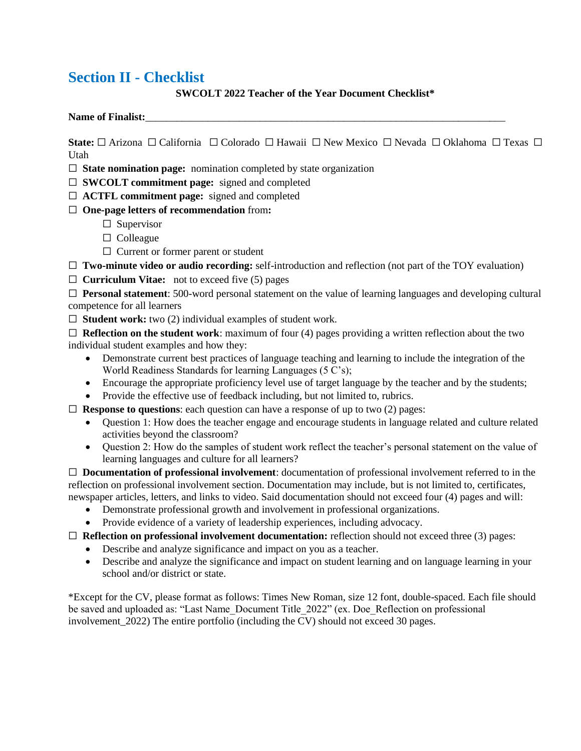## <span id="page-2-0"></span>**Section II - Checklist**

### **SWCOLT 2022 Teacher of the Year Document Checklist\***

#### Name of Finalist:

**State:** □ Arizona □ California □ Colorado □ Hawaii □ New Mexico □ Nevada □ Oklahoma □ Texas □ Utah

 $\Box$  **State nomination page:** nomination completed by state organization

⬜ **SWCOLT commitment page:** signed and completed

- ⬜ **ACTFL commitment page:** signed and completed
- ⬜ **One-page letters of recommendation** from**:** 
	- $\square$  Supervisor
	- □ Colleague
	- $\Box$  Current or former parent or student

⬜ **Two-minute video or audio recording:** self-introduction and reflection (not part of the TOY evaluation)

⬜ **Curriculum Vitae:** not to exceed five (5) pages

⬜ **Personal statement**: 500-word personal statement on the value of learning languages and developing cultural competence for all learners

□ **Student work: two** (2) individual examples of student work.

 $\Box$  **Reflection on the student work**: maximum of four (4) pages providing a written reflection about the two individual student examples and how they:

- Demonstrate current best practices of language teaching and learning to include the integration of the World Readiness Standards for learning Languages (5 C's);
- Encourage the appropriate proficiency level use of target language by the teacher and by the students;
- Provide the effective use of feedback including, but not limited to, rubrics.

 $\Box$  **Response to questions**: each question can have a response of up to two (2) pages:

- Question 1: How does the teacher engage and encourage students in language related and culture related activities beyond the classroom?
- Question 2: How do the samples of student work reflect the teacher's personal statement on the value of learning languages and culture for all learners?

⬜ **Documentation of professional involvement**: documentation of professional involvement referred to in the reflection on professional involvement section. Documentation may include, but is not limited to, certificates, newspaper articles, letters, and links to video. Said documentation should not exceed four (4) pages and will:

- Demonstrate professional growth and involvement in professional organizations.
- Provide evidence of a variety of leadership experiences, including advocacy.

⬜ **Reflection on professional involvement documentation:** reflection should not exceed three (3) pages:

- Describe and analyze significance and impact on you as a teacher.
- Describe and analyze the significance and impact on student learning and on language learning in your school and/or district or state.

\*Except for the CV, please format as follows: Times New Roman, size 12 font, double-spaced. Each file should be saved and uploaded as: "Last Name\_Document Title\_2022" (ex. Doe\_Reflection on professional involvement  $2022$ ) The entire portfolio (including the CV) should not exceed 30 pages.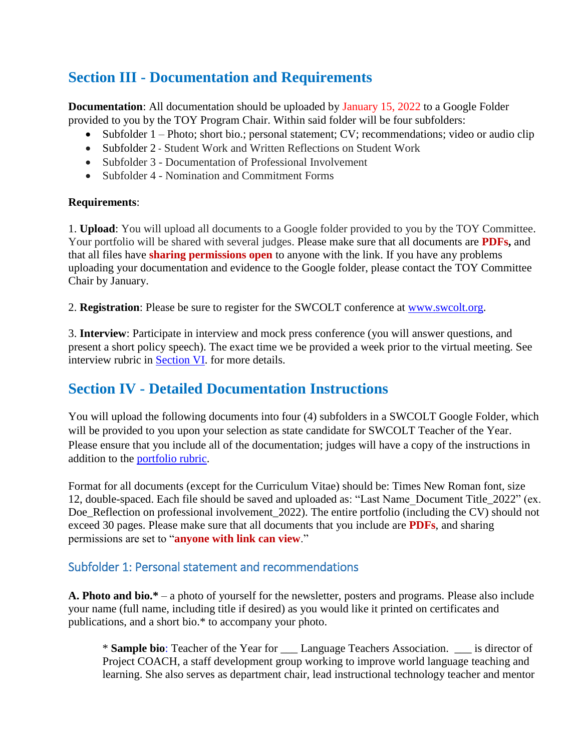# <span id="page-3-0"></span>**Section III - Documentation and Requirements**

**Documentation**: All documentation should be uploaded by January 15, 2022 to a Google Folder provided to you by the TOY Program Chair. Within said folder will be four subfolders:

- Subfolder 1 Photo; short bio.; personal statement; CV; recommendations; video or audio clip
- Subfolder 2 Student Work and Written Reflections on Student Work
- Subfolder 3 Documentation of Professional Involvement
- Subfolder 4 Nomination and Commitment Forms

## **Requirements**:

1. **Upload**: You will upload all documents to a Google folder provided to you by the TOY Committee. Your portfolio will be shared with several judges. Please make sure that all documents are **PDFs,** and that all files have **sharing permissions open** to anyone with the link. If you have any problems uploading your documentation and evidence to the Google folder, please contact the TOY Committee Chair by January.

2. **Registration**: Please be sure to register for the SWCOLT conference at [www.swcolt.org.](http://www.swcolt.org/)

3. **Interview**: Participate in interview and mock press conference (you will answer questions, and present a short policy speech). The exact time we be provided a week prior to the virtual meeting. See interview rubric in [Section VI.](#page-8-0) for more details.

## <span id="page-3-1"></span>**Section IV - Detailed Documentation Instructions**

You will upload the following documents into four (4) subfolders in a SWCOLT Google Folder, which will be provided to you upon your selection as state candidate for SWCOLT Teacher of the Year. Please ensure that you include all of the documentation; judges will have a copy of the instructions in addition to the [portfolio rubric.](#page-6-0)

Format for all documents (except for the Curriculum Vitae) should be: Times New Roman font, size 12, double-spaced. Each file should be saved and uploaded as: "Last Name\_Document Title\_2022" (ex. Doe\_Reflection on professional involvement\_2022). The entire portfolio (including the CV) should not exceed 30 pages. Please make sure that all documents that you include are **PDFs**, and sharing permissions are set to "**anyone with link can view**."

## <span id="page-3-2"></span>Subfolder 1: Personal statement and recommendations

**A. Photo and bio.\*** – a photo of yourself for the newsletter, posters and programs. Please also include your name (full name, including title if desired) as you would like it printed on certificates and publications, and a short bio.\* to accompany your photo.

\* **Sample bio**: Teacher of the Year for \_\_\_ Language Teachers Association. \_\_\_ is director of Project COACH, a staff development group working to improve world language teaching and learning. She also serves as department chair, lead instructional technology teacher and mentor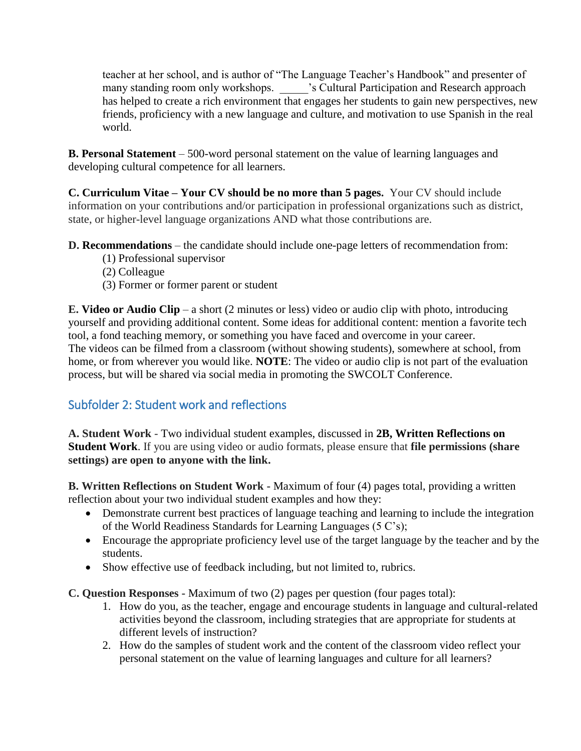teacher at her school, and is author of "The Language Teacher's Handbook" and presenter of many standing room only workshops. \_\_\_\_\_'s Cultural Participation and Research approach has helped to create a rich environment that engages her students to gain new perspectives, new friends, proficiency with a new language and culture, and motivation to use Spanish in the real world.

**B. Personal Statement** – 500-word personal statement on the value of learning languages and developing cultural competence for all learners.

**C. Curriculum Vitae – Your CV should be no more than 5 pages.** Your CV should include information on your contributions and/or participation in professional organizations such as district, state, or higher-level language organizations AND what those contributions are.

**D. Recommendations** – the candidate should include one-page letters of recommendation from:

- (1) Professional supervisor
- (2) Colleague
- (3) Former or former parent or student

**E. Video or Audio Clip** *–* a short (2 minutes or less) video or audio clip with photo, introducing yourself and providing additional content. Some ideas for additional content: mention a favorite tech tool, a fond teaching memory, or something you have faced and overcome in your career. The videos can be filmed from a classroom (without showing students), somewhere at school, from home, or from wherever you would like. **NOTE**: The video or audio clip is not part of the evaluation process, but will be shared via social media in promoting the SWCOLT Conference.

## <span id="page-4-0"></span>Subfolder 2: Student work and reflections

**A. Student Work** *-* Two individual student examples, discussed in **2B, Written Reflections on Student Work**. If you are using video or audio formats, please ensure that **file permissions (share settings) are open to anyone with the link.**

**B. Written Reflections on Student Work -** Maximum of four (4) pages total, providing a written reflection about your two individual student examples and how they:

- Demonstrate current best practices of language teaching and learning to include the integration of the World Readiness Standards for Learning Languages (5 C's);
- Encourage the appropriate proficiency level use of the target language by the teacher and by the students.
- Show effective use of feedback including, but not limited to, rubrics.

**C. Question Responses -** Maximum of two (2) pages per question (four pages total):

- 1. How do you, as the teacher, engage and encourage students in language and cultural-related activities beyond the classroom, including strategies that are appropriate for students at different levels of instruction?
- 2. How do the samples of student work and the content of the classroom video reflect your personal statement on the value of learning languages and culture for all learners?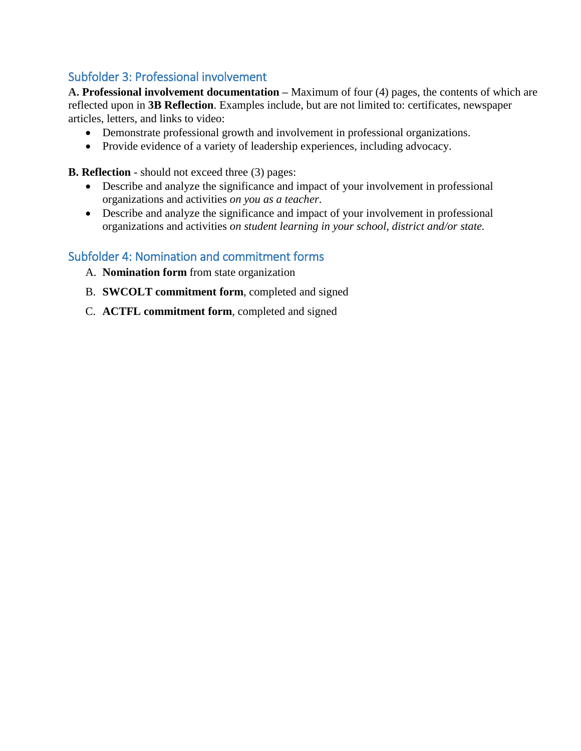## <span id="page-5-0"></span>Subfolder 3: Professional involvement

**A. Professional involvement documentation –** Maximum of four (4) pages, the contents of which are reflected upon in **3B Reflection**. Examples include, but are not limited to: certificates, newspaper articles, letters, and links to video:

- Demonstrate professional growth and involvement in professional organizations.
- Provide evidence of a variety of leadership experiences, including advocacy.

**B. Reflection** - should not exceed three (3) pages:

- Describe and analyze the significance and impact of your involvement in professional organizations and activities *on you as a teacher*.
- Describe and analyze the significance and impact of your involvement in professional organizations and activities *on student learning in your school, district and/or state.*

## <span id="page-5-1"></span>Subfolder 4: Nomination and commitment forms

- A. **Nomination form** from state organization
- B. **SWCOLT commitment form**, completed and signed
- C. **ACTFL commitment form**, completed and signed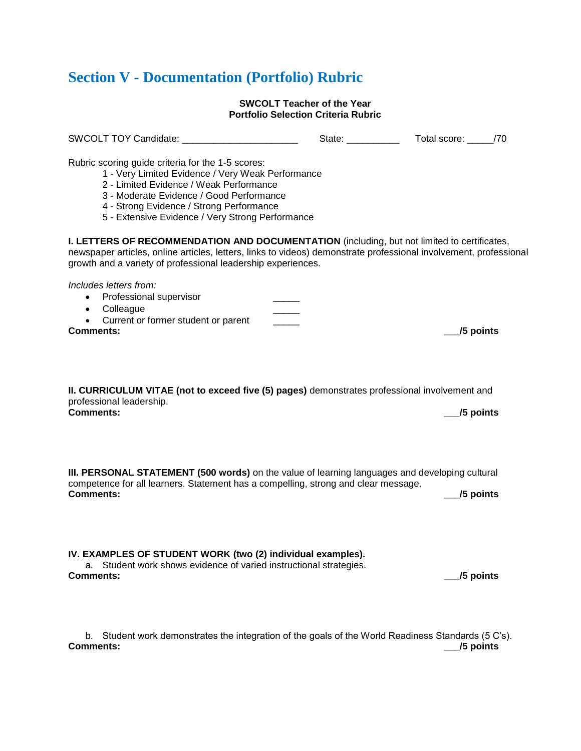# <span id="page-6-0"></span>**Section V - Documentation (Portfolio) Rubric**

#### **SWCOLT Teacher of the Year Portfolio Selection Criteria Rubric**

| SWCOLT TOY Candidate: SWCOLT TOY Candidate:                                                                                                                                                                                                                                                   | State: ___________ | Total score: _____/70 |  |
|-----------------------------------------------------------------------------------------------------------------------------------------------------------------------------------------------------------------------------------------------------------------------------------------------|--------------------|-----------------------|--|
| Rubric scoring guide criteria for the 1-5 scores:<br>1 - Very Limited Evidence / Very Weak Performance<br>2 - Limited Evidence / Weak Performance<br>3 - Moderate Evidence / Good Performance<br>4 - Strong Evidence / Strong Performance<br>5 - Extensive Evidence / Very Strong Performance |                    |                       |  |
| <b>I. LETTERS OF RECOMMENDATION AND DOCUMENTATION</b> (including, but not limited to certificates,<br>newspaper articles, online articles, letters, links to videos) demonstrate professional involvement, professional<br>growth and a variety of professional leadership experiences.       |                    |                       |  |
| Includes letters from:<br>Professional supervisor<br>• Colleague<br>Current or former student or parent<br><b>Comments:</b>                                                                                                                                                                   |                    | /5 points             |  |
| II. CURRICULUM VITAE (not to exceed five (5) pages) demonstrates professional involvement and<br>professional leadership.<br><b>Comments:</b>                                                                                                                                                 |                    | /5 points             |  |
| III. PERSONAL STATEMENT (500 words) on the value of learning languages and developing cultural<br>competence for all learners. Statement has a compelling, strong and clear message.<br><b>Comments:</b>                                                                                      |                    | /5 points             |  |
| IV. EXAMPLES OF STUDENT WORK (two (2) individual examples).<br>Student work shows evidence of varied instructional strategies.<br><b>Comments:</b>                                                                                                                                            |                    | /5 points             |  |
| Student work demonstrates the integration of the goals of the World Readiness Standards (5 C's).<br>b.<br><b>Comments:</b>                                                                                                                                                                    |                    | <i>J</i> 5 points     |  |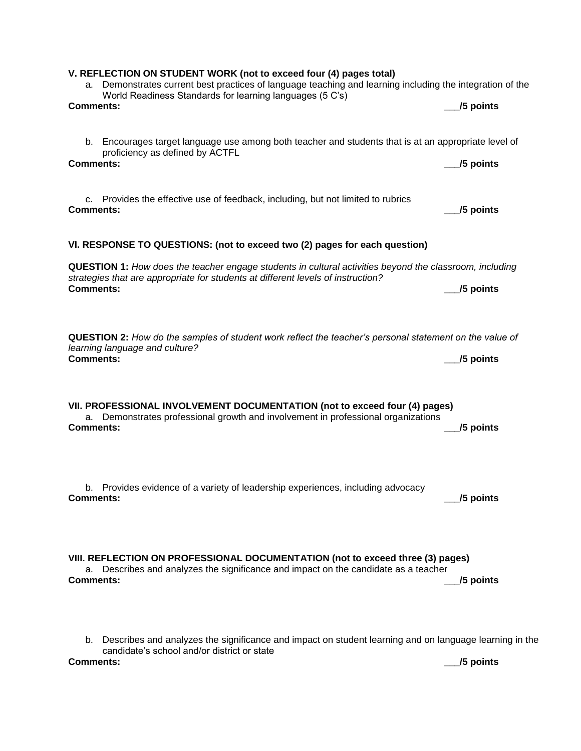| b. Encourages target language use among both teacher and students that is at an appropriate level of<br>proficiency as defined by ACTFL<br><b>Comments:</b>                                                     | /5 points |
|-----------------------------------------------------------------------------------------------------------------------------------------------------------------------------------------------------------------|-----------|
|                                                                                                                                                                                                                 |           |
| Provides the effective use of feedback, including, but not limited to rubrics<br>C.<br><b>Comments:</b>                                                                                                         | /5 points |
| VI. RESPONSE TO QUESTIONS: (not to exceed two (2) pages for each question)                                                                                                                                      |           |
| QUESTION 1: How does the teacher engage students in cultural activities beyond the classroom, including<br>strategies that are appropriate for students at different levels of instruction?<br><b>Comments:</b> | /5 points |
| QUESTION 2: How do the samples of student work reflect the teacher's personal statement on the value of<br>learning language and culture?<br><b>Comments:</b>                                                   | /5 points |
| VII. PROFESSIONAL INVOLVEMENT DOCUMENTATION (not to exceed four (4) pages)<br>a. Demonstrates professional growth and involvement in professional organizations<br><b>Comments:</b>                             | /5 points |
| b. Provides evidence of a variety of leadership experiences, including advocacy<br><b>Comments:</b>                                                                                                             | /5 points |
| VIII. REFLECTION ON PROFESSIONAL DOCUMENTATION (not to exceed three (3) pages)<br>Describes and analyzes the significance and impact on the candidate as a teacher<br>а.<br><b>Comments:</b>                    | /5 points |
|                                                                                                                                                                                                                 |           |

a. Demonstrates current best practices of language teaching and learning including the integration of the

**Comments:** *Comments:**Legislative Comments:**Legislative Comments:**Legislative Comments:* 

**V. REFLECTION ON STUDENT WORK (not to exceed four (4) pages total)**

World Readiness Standards for learning languages (5 C's)

b. Describes and analyzes the significance and impact on student learning and on language learning in the candidate's school and/or district or state **Comments: \_\_\_/5 points**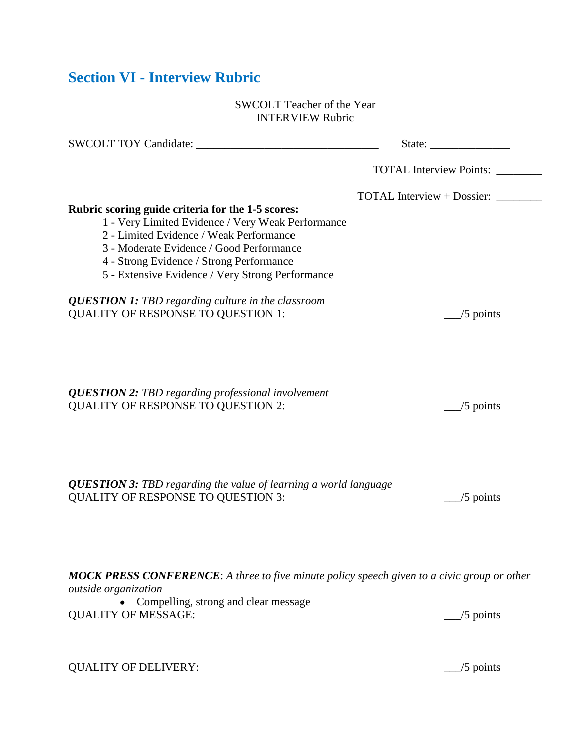## <span id="page-8-0"></span>**Section VI - Interview Rubric**

#### SWCOLT Teacher of the Year INTERVIEW Rubric

| SWCOLT TOY Candidate:                                                                                                                                                                                                                                                                         |                                   |
|-----------------------------------------------------------------------------------------------------------------------------------------------------------------------------------------------------------------------------------------------------------------------------------------------|-----------------------------------|
|                                                                                                                                                                                                                                                                                               | <b>TOTAL Interview Points:</b>    |
| Rubric scoring guide criteria for the 1-5 scores:<br>1 - Very Limited Evidence / Very Weak Performance<br>2 - Limited Evidence / Weak Performance<br>3 - Moderate Evidence / Good Performance<br>4 - Strong Evidence / Strong Performance<br>5 - Extensive Evidence / Very Strong Performance | <b>TOTAL Interview + Dossier:</b> |
| <b>QUESTION 1: TBD</b> regarding culture in the classroom<br><b>QUALITY OF RESPONSE TO QUESTION 1:</b>                                                                                                                                                                                        | $\frac{1}{5}$ points              |
| <b>QUESTION 2: TBD regarding professional involvement</b><br><b>QUALITY OF RESPONSE TO QUESTION 2:</b>                                                                                                                                                                                        | $\frac{1}{5}$ points              |
| <b>QUESTION 3: TBD</b> regarding the value of learning a world language<br><b>QUALITY OF RESPONSE TO QUESTION 3:</b>                                                                                                                                                                          | $/5$ points                       |

*MOCK PRESS CONFERENCE*: *A three to five minute policy speech given to a civic group or other outside organization*

| • Compelling, strong and clear message |                      |
|----------------------------------------|----------------------|
| <b>QUALITY OF MESSAGE:</b>             | $\frac{1}{2}$ points |

QUALITY OF DELIVERY: \_\_\_/5 points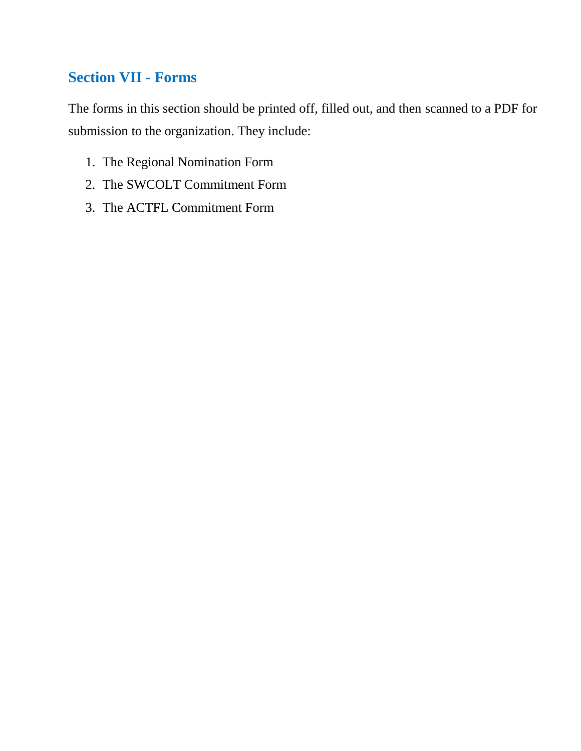## <span id="page-9-0"></span>**Section VII - Forms**

The forms in this section should be printed off, filled out, and then scanned to a PDF for submission to the organization. They include:

- 1. The Regional Nomination Form
- 2. The SWCOLT Commitment Form
- 3. The ACTFL Commitment Form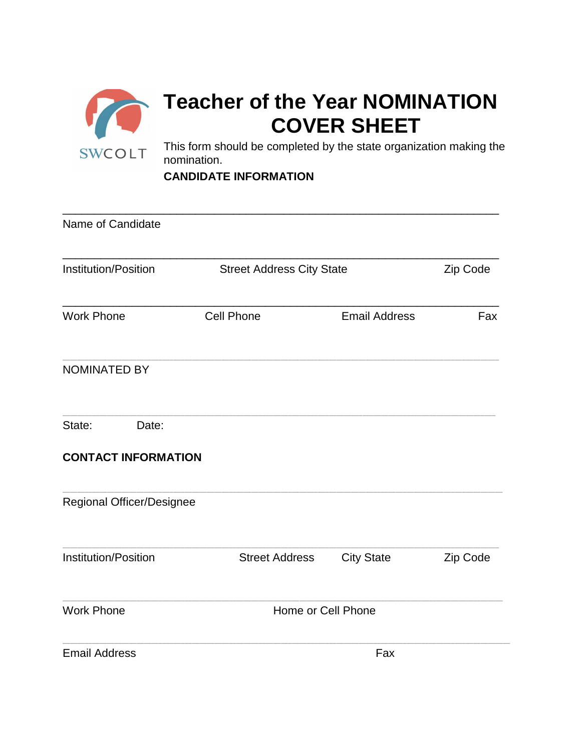

**CANDIDATE INFORMATION** 

| Name of Candidate                             |                                  |                      |          |
|-----------------------------------------------|----------------------------------|----------------------|----------|
| <b>Institution/Position</b>                   | <b>Street Address City State</b> |                      | Zip Code |
| <b>Work Phone</b>                             | <b>Cell Phone</b>                | <b>Email Address</b> | Fax      |
| <b>NOMINATED BY</b>                           |                                  |                      |          |
| State:<br>Date:<br><b>CONTACT INFORMATION</b> |                                  |                      |          |
| Regional Officer/Designee                     |                                  |                      |          |
| <b>Institution/Position</b>                   | <b>Street Address</b>            | <b>City State</b>    | Zip Code |
| <b>Work Phone</b>                             |                                  | Home or Cell Phone   |          |
| <b>Email Address</b>                          |                                  | Fax                  |          |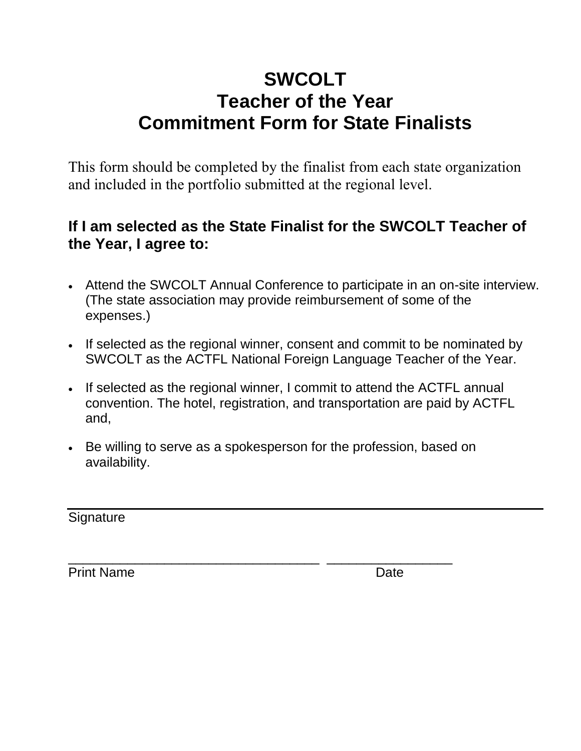# **SWCOLT Teacher of the Year Commitment Form for State Finalists**

This form should be completed by the finalist from each state organization and included in the portfolio submitted at the regional level.

# **If I am selected as the State Finalist for the SWCOLT Teacher of the Year, I agree to:**

- Attend the SWCOLT Annual Conference to participate in an on-site interview. (The state association may provide reimbursement of some of the expenses.)
- If selected as the regional winner, consent and commit to be nominated by SWCOLT as the ACTFL National Foreign Language Teacher of the Year.
- If selected as the regional winner, I commit to attend the ACTFL annual convention. The hotel, registration, and transportation are paid by ACTFL and,
- Be willing to serve as a spokesperson for the profession, based on availability.

|  | Signature |  |
|--|-----------|--|
|--|-----------|--|

**Print Name** 

| <b>Print Name</b> | Date |
|-------------------|------|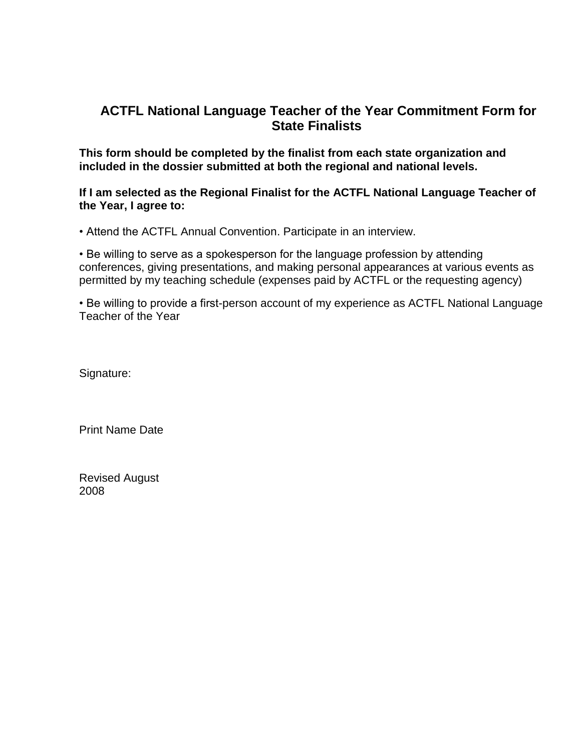## **ACTFL National Language Teacher of the Year Commitment Form for State Finalists**

**This form should be completed by the finalist from each state organization and included in the dossier submitted at both the regional and national levels.**

**If I am selected as the Regional Finalist for the ACTFL National Language Teacher of the Year, I agree to:**

• Attend the ACTFL Annual Convention. Participate in an interview.

• Be willing to serve as a spokesperson for the language profession by attending conferences, giving presentations, and making personal appearances at various events as permitted by my teaching schedule (expenses paid by ACTFL or the requesting agency)

• Be willing to provide a first-person account of my experience as ACTFL National Language Teacher of the Year

Signature:

Print Name Date

Revised August 2008